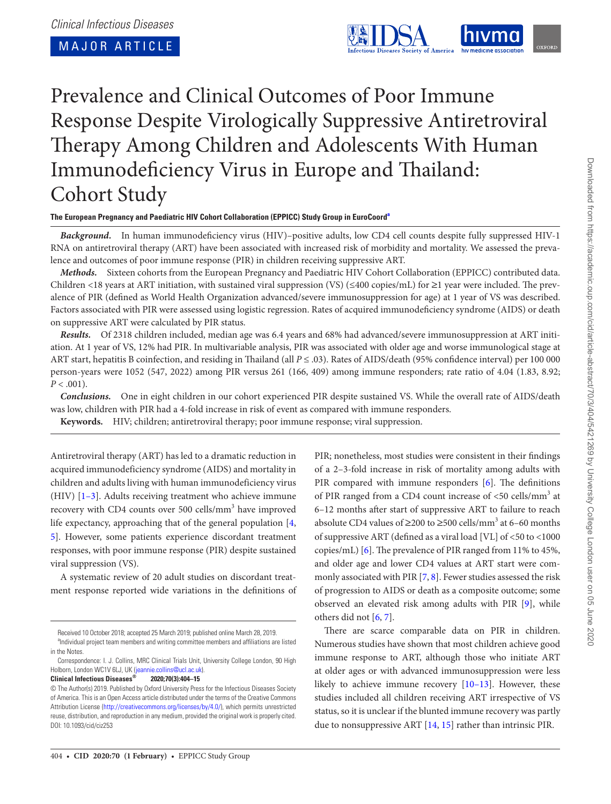

# Prevalence and Clinical Outcomes of Poor Immune Response Despite Virologically Suppressive Antiretroviral Therapy Among Children and Adolescents With Human Immunodeficiency Virus in Europe and Thailand: Cohort Study

**The European Pregnancy and Paediatric HIV Cohort Collaboration (EPPICC) Study Group in EuroCoorda**

*Background.* In human immunodeficiency virus (HIV)–positive adults, low CD4 cell counts despite fully suppressed HIV-1 RNA on antiretroviral therapy (ART) have been associated with increased risk of morbidity and mortality. We assessed the prevalence and outcomes of poor immune response (PIR) in children receiving suppressive ART.

*Methods.* Sixteen cohorts from the European Pregnancy and Paediatric HIV Cohort Collaboration (EPPICC) contributed data. Children <18 years at ART initiation, with sustained viral suppression (VS) (≤400 copies/mL) for ≥1 year were included. The prevalence of PIR (defined as World Health Organization advanced/severe immunosuppression for age) at 1 year of VS was described. Factors associated with PIR were assessed using logistic regression. Rates of acquired immunodeficiency syndrome (AIDS) or death on suppressive ART were calculated by PIR status.

*Results.* Of 2318 children included, median age was 6.4 years and 68% had advanced/severe immunosuppression at ART initiation. At 1 year of VS, 12% had PIR. In multivariable analysis, PIR was associated with older age and worse immunological stage at ART start, hepatitis B coinfection, and residing in Thailand (all *P* ≤ .03). Rates of AIDS/death (95% confidence interval) per 100 000 person-years were 1052 (547, 2022) among PIR versus 261 (166, 409) among immune responders; rate ratio of 4.04 (1.83, 8.92;  $P < .001$ ).

*Conclusions.* One in eight children in our cohort experienced PIR despite sustained VS. While the overall rate of AIDS/death was low, children with PIR had a 4-fold increase in risk of event as compared with immune responders.

**Keywords.** HIV; children; antiretroviral therapy; poor immune response; viral suppression.

Antiretroviral therapy (ART) has led to a dramatic reduction in acquired immunodeficiency syndrome (AIDS) and mortality in children and adults living with human immunodeficiency virus (HIV) [1–3]. Adults receiving treatment who achieve immune recovery with CD4 counts over 500 cells/mm<sup>3</sup> have improved life expectancy, approaching that of the general population [4, 5]. However, some patients experience discordant treatment responses, with poor immune response (PIR) despite sustained viral suppression (VS).

A systematic review of 20 adult studies on discordant treatment response reported wide variations in the definitions of

**Clinical Infectious Diseases® 2020;70(3):404–15**

PIR; nonetheless, most studies were consistent in their findings of a 2–3-fold increase in risk of mortality among adults with PIR compared with immune responders [6]. The definitions of PIR ranged from a CD4 count increase of <50 cells/mm<sup>3</sup> at 6–12 months after start of suppressive ART to failure to reach absolute CD4 values of  $\geq$ 200 to  $\geq$ 500 cells/mm<sup>3</sup> at 6–60 months of suppressive ART (defined as a viral load [VL] of <50 to <1000 copies/mL) [6]. The prevalence of PIR ranged from 11% to 45%, and older age and lower CD4 values at ART start were commonly associated with PIR [7, 8]. Fewer studies assessed the risk of progression to AIDS or death as a composite outcome; some observed an elevated risk among adults with PIR [9], while others did not [6, 7].

There are scarce comparable data on PIR in children. Numerous studies have shown that most children achieve good immune response to ART, although those who initiate ART at older ages or with advanced immunosuppression were less likely to achieve immune recovery [10–13]. However, these studies included all children receiving ART irrespective of VS status, so it is unclear if the blunted immune recovery was partly due to nonsuppressive ART [14, 15] rather than intrinsic PIR.

Received 10 October 2018; accepted 25 March 2019; published online March 28, 2019.

<sup>&</sup>lt;sup>a</sup>lndividual project team members and writing committee members and affiliations are listed in the Notes.

Correspondence: I. J. Collins, MRC Clinical Trials Unit, University College London, 90 High Holborn, London WC1V 6LJ, UK (jeannie.collins@ucl.ac.uk).

<sup>©</sup> The Author(s) 2019. Published by Oxford University Press for the Infectious Diseases Society of America. This is an Open Access article distributed under the terms of the Creative Commons Attribution License (http://creativecommons.org/licenses/by/4.0/), which permits unrestricted reuse, distribution, and reproduction in any medium, provided the original work is properly cited. DOI: 10.1093/cid/ciz253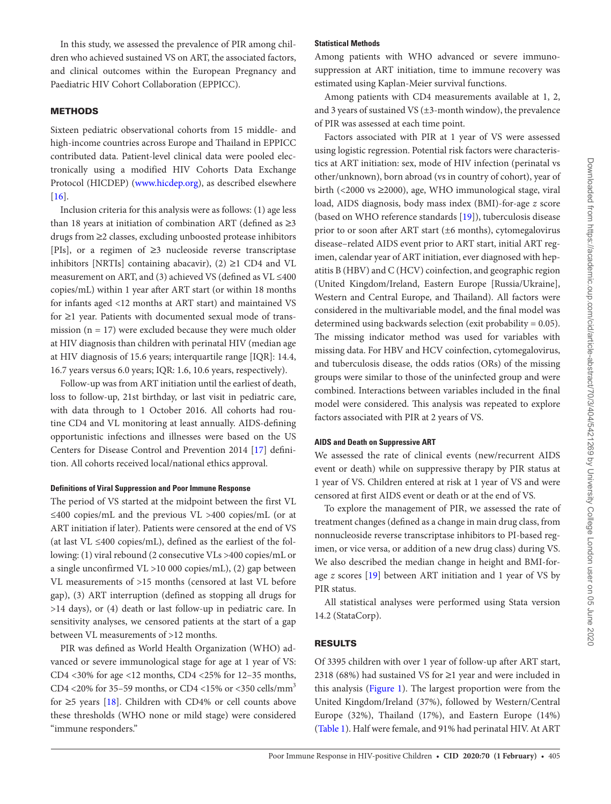In this study, we assessed the prevalence of PIR among children who achieved sustained VS on ART, the associated factors, and clinical outcomes within the European Pregnancy and Paediatric HIV Cohort Collaboration (EPPICC).

## METHODS

Sixteen pediatric observational cohorts from 15 middle- and high-income countries across Europe and Thailand in EPPICC contributed data. Patient-level clinical data were pooled electronically using a modified HIV Cohorts Data Exchange Protocol (HICDEP) (www.hicdep.org), as described elsewhere  $[16]$ .

Inclusion criteria for this analysis were as follows: (1) age less than 18 years at initiation of combination ART (defined as  $\geq 3$ drugs from ≥2 classes, excluding unboosted protease inhibitors [PIs], or a regimen of ≥3 nucleoside reverse transcriptase inhibitors [NRTIs] containing abacavir),  $(2) \ge 1$  CD4 and VL measurement on ART, and (3) achieved VS (defined as VL ≤400 copies/mL) within 1 year after ART start (or within 18 months for infants aged <12 months at ART start) and maintained VS for ≥1 year. Patients with documented sexual mode of transmission ( $n = 17$ ) were excluded because they were much older at HIV diagnosis than children with perinatal HIV (median age at HIV diagnosis of 15.6 years; interquartile range [IQR]: 14.4, 16.7 years versus 6.0 years; IQR: 1.6, 10.6 years, respectively).

Follow-up was from ART initiation until the earliest of death, loss to follow-up, 21st birthday, or last visit in pediatric care, with data through to 1 October 2016. All cohorts had routine CD4 and VL monitoring at least annually. AIDS-defining opportunistic infections and illnesses were based on the US Centers for Disease Control and Prevention 2014 [17] definition. All cohorts received local/national ethics approval.

## **Definitions of Viral Suppression and Poor Immune Response**

The period of VS started at the midpoint between the first VL ≤400 copies/mL and the previous VL >400 copies/mL (or at ART initiation if later). Patients were censored at the end of VS (at last VL ≤400 copies/mL), defined as the earliest of the following: (1) viral rebound (2 consecutive VLs >400 copies/mL or a single unconfirmed VL >10 000 copies/mL), (2) gap between VL measurements of >15 months (censored at last VL before gap), (3) ART interruption (defined as stopping all drugs for >14 days), or (4) death or last follow-up in pediatric care. In sensitivity analyses, we censored patients at the start of a gap between VL measurements of >12 months.

PIR was defined as World Health Organization (WHO) advanced or severe immunological stage for age at 1 year of VS: CD4 <30% for age <12 months, CD4 <25% for 12–35 months, CD4 <20% for 35–59 months, or CD4 <15% or <350 cells/mm<sup>3</sup> for  $\geq$ 5 years [18]. Children with CD4% or cell counts above these thresholds (WHO none or mild stage) were considered "immune responders."

## **Statistical Methods**

Among patients with WHO advanced or severe immunosuppression at ART initiation, time to immune recovery was estimated using Kaplan-Meier survival functions.

Among patients with CD4 measurements available at 1, 2, and 3 years of sustained VS (±3-month window), the prevalence of PIR was assessed at each time point.

Factors associated with PIR at 1 year of VS were assessed using logistic regression. Potential risk factors were characteristics at ART initiation: sex, mode of HIV infection (perinatal vs other/unknown), born abroad (vs in country of cohort), year of birth (<2000 vs ≥2000), age, WHO immunological stage, viral load, AIDS diagnosis, body mass index (BMI)-for-age *z* score (based on WHO reference standards [19]), tuberculosis disease prior to or soon after ART start (±6 months), cytomegalovirus disease–related AIDS event prior to ART start, initial ART regimen, calendar year of ART initiation, ever diagnosed with hepatitis B (HBV) and C (HCV) coinfection, and geographic region (United Kingdom/Ireland, Eastern Europe [Russia/Ukraine], Western and Central Europe, and Thailand). All factors were considered in the multivariable model, and the final model was determined using backwards selection (exit probability = 0.05). The missing indicator method was used for variables with missing data. For HBV and HCV coinfection, cytomegalovirus, and tuberculosis disease, the odds ratios (ORs) of the missing groups were similar to those of the uninfected group and were combined. Interactions between variables included in the final model were considered. This analysis was repeated to explore factors associated with PIR at 2 years of VS.

## **AIDS and Death on Suppressive ART**

We assessed the rate of clinical events (new/recurrent AIDS event or death) while on suppressive therapy by PIR status at 1 year of VS. Children entered at risk at 1 year of VS and were censored at first AIDS event or death or at the end of VS.

To explore the management of PIR, we assessed the rate of treatment changes (defined as a change in main drug class, from nonnucleoside reverse transcriptase inhibitors to PI-based regimen, or vice versa, or addition of a new drug class) during VS. We also described the median change in height and BMI-forage *z* scores [19] between ART initiation and 1 year of VS by PIR status.

All statistical analyses were performed using Stata version 14.2 (StataCorp).

# RESULTS

Of 3395 children with over 1 year of follow-up after ART start, 2318 (68%) had sustained VS for ≥1 year and were included in this analysis (Figure 1). The largest proportion were from the United Kingdom/Ireland (37%), followed by Western/Central Europe (32%), Thailand (17%), and Eastern Europe (14%) (Table 1). Half were female, and 91% had perinatal HIV. At ART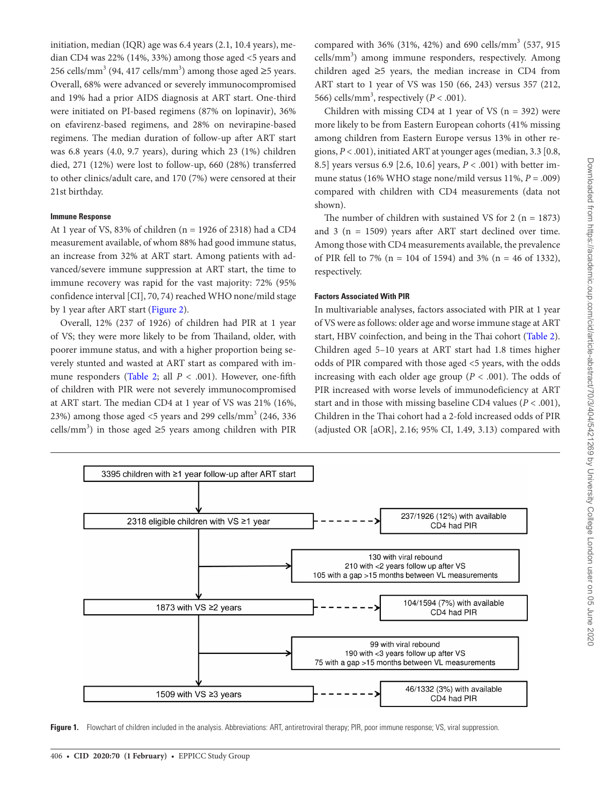initiation, median (IQR) age was 6.4 years (2.1, 10.4 years), median CD4 was 22% (14%, 33%) among those aged <5 years and 256 cells/mm<sup>3</sup> (94, 417 cells/mm<sup>3</sup>) among those aged  $\geq$ 5 years. Overall, 68% were advanced or severely immunocompromised and 19% had a prior AIDS diagnosis at ART start. One-third were initiated on PI-based regimens (87% on lopinavir), 36% on efavirenz-based regimens, and 28% on nevirapine-based regimens. The median duration of follow-up after ART start was 6.8 years (4.0, 9.7 years), during which 23 (1%) children died, 271 (12%) were lost to follow-up, 660 (28%) transferred to other clinics/adult care, and 170 (7%) were censored at their 21st birthday.

### **Immune Response**

At 1 year of VS, 83% of children ( $n = 1926$  of 2318) had a CD4 measurement available, of whom 88% had good immune status, an increase from 32% at ART start. Among patients with advanced/severe immune suppression at ART start, the time to immune recovery was rapid for the vast majority: 72% (95% confidence interval [CI], 70, 74) reached WHO none/mild stage by 1 year after ART start (Figure 2).

Overall, 12% (237 of 1926) of children had PIR at 1 year of VS; they were more likely to be from Thailand, older, with poorer immune status, and with a higher proportion being severely stunted and wasted at ART start as compared with immune responders (Table 2; all  $P < .001$ ). However, one-fifth of children with PIR were not severely immunocompromised at ART start. The median CD4 at 1 year of VS was 21% (16%, 23%) among those aged  $<$  5 years and 299 cells/mm<sup>3</sup> (246, 336 cells/mm<sup>3</sup>) in those aged ≥5 years among children with PIR

compared with 36% (31%, 42%) and 690 cells/mm<sup>3</sup> (537, 915 cells/mm<sup>3</sup>) among immune responders, respectively. Among children aged  $\geq$ 5 years, the median increase in CD4 from ART start to 1 year of VS was 150 (66, 243) versus 357 (212, 566) cells/mm<sup>3</sup>, respectively ( $P < .001$ ).

Children with missing CD4 at 1 year of VS ( $n = 392$ ) were more likely to be from Eastern European cohorts (41% missing among children from Eastern Europe versus 13% in other regions, *P* < .001), initiated ART at younger ages (median, 3.3 [0.8, 8.5] years versus 6.9 [2.6, 10.6] years, *P* < .001) with better immune status (16% WHO stage none/mild versus 11%, *P* = .009) compared with children with CD4 measurements (data not shown).

The number of children with sustained VS for  $2 (n = 1873)$ and 3 ( $n = 1509$ ) years after ART start declined over time. Among those with CD4 measurements available, the prevalence of PIR fell to 7% (n = 104 of 1594) and 3% (n = 46 of 1332), respectively.

#### **Factors Associated With PIR**

In multivariable analyses, factors associated with PIR at 1 year of VS were as follows: older age and worse immune stage at ART start, HBV coinfection, and being in the Thai cohort (Table 2). Children aged 5–10 years at ART start had 1.8 times higher odds of PIR compared with those aged <5 years, with the odds increasing with each older age group ( $P < .001$ ). The odds of PIR increased with worse levels of immunodeficiency at ART start and in those with missing baseline CD4 values ( $P < .001$ ), Children in the Thai cohort had a 2-fold increased odds of PIR (adjusted OR [aOR], 2.16; 95% CI, 1.49, 3.13) compared with



Figure 1. Flowchart of children included in the analysis. Abbreviations: ART, antiretroviral therapy; PIR, poor immune response; VS, viral suppression.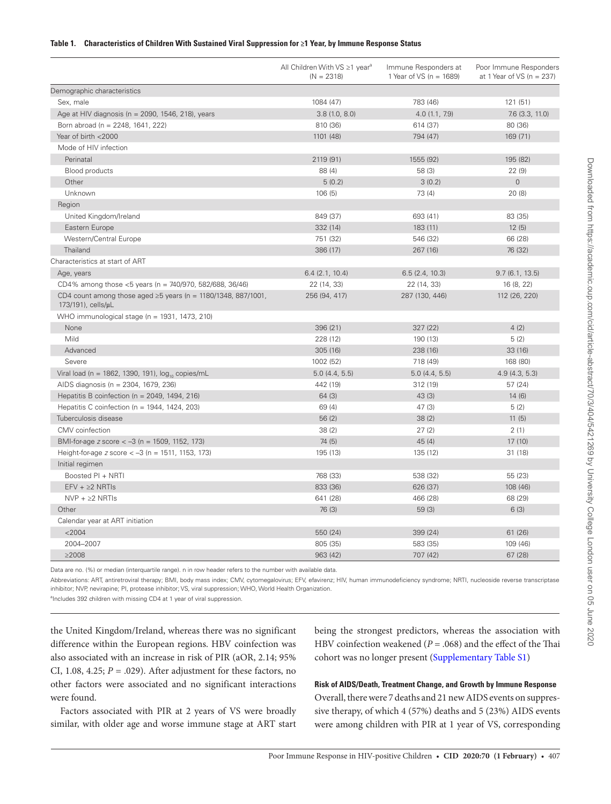## **Table 1. Characteristics of Children With Sustained Viral Suppression for ≥1 Year, by Immune Response Status**

|                                                                                           | All Children With $VS \ge 1$ year <sup>a</sup><br>$(N = 2318)$ | Immune Responders at<br>1 Year of VS ( $n = 1689$ ) | Poor Immune Responders<br>at 1 Year of VS ( $n = 237$ ) |
|-------------------------------------------------------------------------------------------|----------------------------------------------------------------|-----------------------------------------------------|---------------------------------------------------------|
| Demographic characteristics                                                               |                                                                |                                                     |                                                         |
| Sex, male                                                                                 | 1084 (47)                                                      | 783 (46)                                            | 121 (51)                                                |
| Age at HIV diagnosis ( $n = 2090$ , 1546, 218), years                                     | 3.8(1.0, 8.0)                                                  | 4.0(1.1, 7.9)                                       | 7.6 (3.3, 11.0)                                         |
| Born abroad (n = 2248, 1641, 222)                                                         | 810 (36)                                                       | 614 (37)                                            | 80 (36)                                                 |
| Year of birth <2000                                                                       | 1101 (48)                                                      | 794 (47)                                            | 169 (71)                                                |
| Mode of HIV infection                                                                     |                                                                |                                                     |                                                         |
| Perinatal                                                                                 | 2119 (91)                                                      | 1555 (92)                                           | 195 (82)                                                |
| Blood products                                                                            | 88(4)                                                          | 58 (3)                                              | 22(9)                                                   |
| Other                                                                                     | 5(0.2)                                                         | 3(0.2)                                              | $\mathsf{O}\xspace$                                     |
| Unknown                                                                                   | 106(5)                                                         | 73 (4)                                              | 20(8)                                                   |
| Region                                                                                    |                                                                |                                                     |                                                         |
| United Kingdom/Ireland                                                                    | 849 (37)                                                       | 693 (41)                                            | 83 (35)                                                 |
| Eastern Europe                                                                            | 332 (14)                                                       | 183 (11)                                            | 12(5)                                                   |
| Western/Central Europe                                                                    | 751 (32)                                                       | 546 (32)                                            | 66 (28)                                                 |
| Thailand                                                                                  | 386 (17)                                                       | 267 (16)                                            | 76 (32)                                                 |
| Characteristics at start of ART                                                           |                                                                |                                                     |                                                         |
| Age, years                                                                                | 6.4(2.1, 10.4)                                                 | 6.5(2.4, 10.3)                                      | 9.7(6.1, 13.5)                                          |
| CD4% among those <5 years (n = 740/970, 582/688, 36/46)                                   | 22 (14, 33)                                                    | 22 (14, 33)                                         | 16 (8, 22)                                              |
| CD4 count among those aged $\geq$ 5 years (n = 1180/1348, 887/1001,<br>173/191), cells/µL | 256 (94, 417)                                                  | 287 (130, 446)                                      | 112 (26, 220)                                           |
| WHO immunological stage (n = 1931, 1473, 210)                                             |                                                                |                                                     |                                                         |
| None                                                                                      | 396 (21)                                                       | 327 (22)                                            | 4(2)                                                    |
| Mild                                                                                      | 228 (12)                                                       | 190 (13)                                            | 5(2)                                                    |
| Advanced                                                                                  | 305(16)                                                        | 238 (16)                                            | 33 (16)                                                 |
| Severe                                                                                    | 1002 (52)                                                      | 718 (49)                                            | 168 (80)                                                |
| Viral load (n = 1862, 1390, 191), $log_{10}$ copies/mL                                    | 5.0(4.4, 5.5)                                                  | 5.0(4.4, 5.5)                                       | 4.9(4.3, 5.3)                                           |
| AIDS diagnosis (n = 2304, 1679, 236)                                                      | 442 (19)                                                       | 312 (19)                                            | 57 (24)                                                 |
| Hepatitis B coinfection ( $n = 2049$ , 1494, 216)                                         | 64(3)                                                          | 43(3)                                               | 14(6)                                                   |
| Hepatitis C coinfection ( $n = 1944$ , 1424, 203)                                         | 69(4)                                                          | 47(3)                                               | 5(2)                                                    |
| Tuberculosis disease                                                                      | 56(2)                                                          | 38(2)                                               | 11(5)                                                   |
| CMV coinfection                                                                           | 38(2)                                                          | 27(2)                                               | 2(1)                                                    |
| BMI-for-age z score < - 3 (n = 1509, 1152, 173)                                           | 74(5)                                                          | 45(4)                                               | 17(10)                                                  |
| Height-for-age z score $<-3$ (n = 1511, 1153, 173)                                        | 195 (13)                                                       | 135 (12)                                            | 31 (18)                                                 |
| Initial regimen                                                                           |                                                                |                                                     |                                                         |
| Boosted PI + NRTI                                                                         | 768 (33)                                                       | 538 (32)                                            | 55 (23)                                                 |
| $EFV + \geq 2$ NRTIs                                                                      | 833 (36)                                                       | 626 (37)                                            | 108 (46)                                                |
| $NVP + \geq 2$ NRTIs                                                                      | 641 (28)                                                       | 466 (28)                                            | 68 (29)                                                 |
| Other                                                                                     | 76(3)                                                          | 59(3)                                               | 6(3)                                                    |
| Calendar year at ART initiation                                                           |                                                                |                                                     |                                                         |
| < 2004                                                                                    | 550 (24)                                                       | 399 (24)                                            | 61 (26)                                                 |
| 2004-2007                                                                                 | 805 (35)                                                       | 583 (35)                                            | 109 (46)                                                |
| $\geq$ 2008                                                                               | 963 (42)                                                       | 707 (42)                                            | 67 (28)                                                 |

Data are no. (%) or median (interquartile range). n in row header refers to the number with available data.

Abbreviations: ART, antiretroviral therapy; BMI, body mass index; CMV, cytomegalovirus; EFV, efavirenz; HIV, human immunodeficiency syndrome; NRTI, nucleoside reverse transcriptase inhibitor; NVP, nevirapine; PI, protease inhibitor; VS, viral suppression; WHO, World Health Organization.

<sup>a</sup>Includes 392 children with missing CD4 at 1 year of viral suppression.

the United Kingdom/Ireland, whereas there was no significant difference within the European regions. HBV coinfection was also associated with an increase in risk of PIR (aOR, 2.14; 95% CI, 1.08, 4.25;  $P = .029$ ). After adjustment for these factors, no other factors were associated and no significant interactions were found.

Factors associated with PIR at 2 years of VS were broadly similar, with older age and worse immune stage at ART start being the strongest predictors, whereas the association with HBV coinfection weakened (*P* = .068) and the effect of the Thai cohort was no longer present (Supplementary Table S1)

## **Risk of AIDS/Death, Treatment Change, and Growth by Immune Response**

Overall, there were 7 deaths and 21 new AIDS events on suppressive therapy, of which 4 (57%) deaths and 5 (23%) AIDS events were among children with PIR at 1 year of VS, corresponding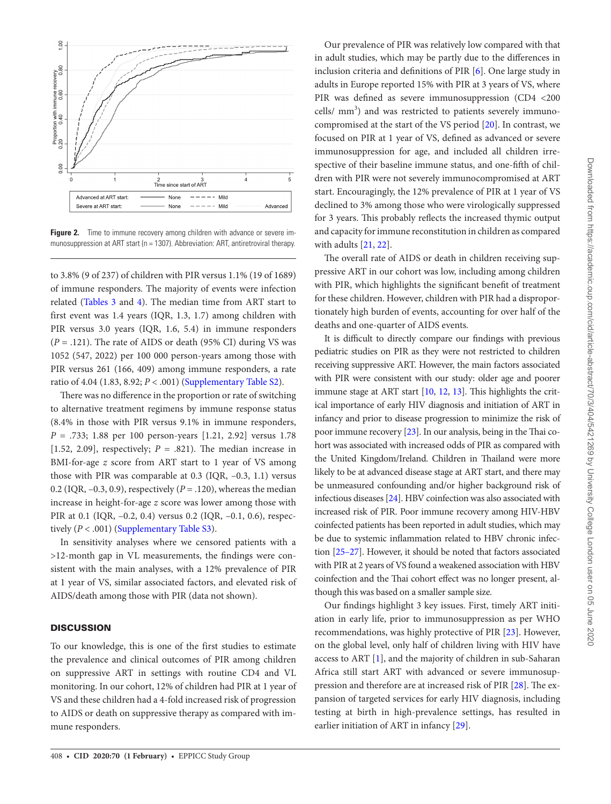

**Figure 2.** Time to immune recovery among children with advance or severe immunosuppression at ART start (n = 1307). Abbreviation: ART, antiretroviral therapy.

to 3.8% (9 of 237) of children with PIR versus 1.1% (19 of 1689) of immune responders. The majority of events were infection related (Tables 3 and 4). The median time from ART start to first event was 1.4 years (IQR, 1.3, 1.7) among children with PIR versus 3.0 years (IQR, 1.6, 5.4) in immune responders  $(P = .121)$ . The rate of AIDS or death (95% CI) during VS was 1052 (547, 2022) per 100 000 person-years among those with PIR versus 261 (166, 409) among immune responders, a rate ratio of 4.04 (1.83, 8.92; *P* < .001) (Supplementary Table S2).

There was no difference in the proportion or rate of switching to alternative treatment regimens by immune response status (8.4% in those with PIR versus 9.1% in immune responders, *P* = .733; 1.88 per 100 person-years [1.21, 2.92] versus 1.78 [1.52, 2.09], respectively;  $P = .821$ ). The median increase in BMI-for-age *z* score from ART start to 1 year of VS among those with PIR was comparable at 0.3 (IQR, –0.3, 1.1) versus 0.2 (IQR, –0.3, 0.9), respectively (*P* = .120), whereas the median increase in height-for-age *z* score was lower among those with PIR at 0.1 (IQR, –0.2, 0.4) versus 0.2 (IQR, –0.1, 0.6), respectively (*P* < .001) (Supplementary Table S3).

In sensitivity analyses where we censored patients with a >12-month gap in VL measurements, the findings were consistent with the main analyses, with a 12% prevalence of PIR at 1 year of VS, similar associated factors, and elevated risk of AIDS/death among those with PIR (data not shown).

## **DISCUSSION**

To our knowledge, this is one of the first studies to estimate the prevalence and clinical outcomes of PIR among children on suppressive ART in settings with routine CD4 and VL monitoring. In our cohort, 12% of children had PIR at 1 year of VS and these children had a 4-fold increased risk of progression to AIDS or death on suppressive therapy as compared with immune responders.

Our prevalence of PIR was relatively low compared with that in adult studies, which may be partly due to the differences in inclusion criteria and definitions of PIR [6]. One large study in adults in Europe reported 15% with PIR at 3 years of VS, where PIR was defined as severe immunosuppression (CD4 <200 cells/ mm<sup>3</sup>) and was restricted to patients severely immunocompromised at the start of the VS period [20]. In contrast, we focused on PIR at 1 year of VS, defined as advanced or severe immunosuppression for age, and included all children irrespective of their baseline immune status, and one-fifth of children with PIR were not severely immunocompromised at ART start. Encouragingly, the 12% prevalence of PIR at 1 year of VS declined to 3% among those who were virologically suppressed for 3 years. This probably reflects the increased thymic output and capacity for immune reconstitution in children as compared with adults [21, 22].

The overall rate of AIDS or death in children receiving suppressive ART in our cohort was low, including among children with PIR, which highlights the significant benefit of treatment for these children. However, children with PIR had a disproportionately high burden of events, accounting for over half of the deaths and one-quarter of AIDS events.

It is difficult to directly compare our findings with previous pediatric studies on PIR as they were not restricted to children receiving suppressive ART. However, the main factors associated with PIR were consistent with our study: older age and poorer immune stage at ART start [10, 12, 13]. This highlights the critical importance of early HIV diagnosis and initiation of ART in infancy and prior to disease progression to minimize the risk of poor immune recovery [23]. In our analysis, being in the Thai cohort was associated with increased odds of PIR as compared with the United Kingdom/Ireland. Children in Thailand were more likely to be at advanced disease stage at ART start, and there may be unmeasured confounding and/or higher background risk of infectious diseases [24]. HBV coinfection was also associated with increased risk of PIR. Poor immune recovery among HIV-HBV coinfected patients has been reported in adult studies, which may be due to systemic inflammation related to HBV chronic infection [25–27]. However, it should be noted that factors associated with PIR at 2 years of VS found a weakened association with HBV coinfection and the Thai cohort effect was no longer present, although this was based on a smaller sample size.

Our findings highlight 3 key issues. First, timely ART initiation in early life, prior to immunosuppression as per WHO recommendations, was highly protective of PIR [23]. However, on the global level, only half of children living with HIV have access to ART [1], and the majority of children in sub-Saharan Africa still start ART with advanced or severe immunosuppression and therefore are at increased risk of PIR [28]. The expansion of targeted services for early HIV diagnosis, including testing at birth in high-prevalence settings, has resulted in earlier initiation of ART in infancy [29].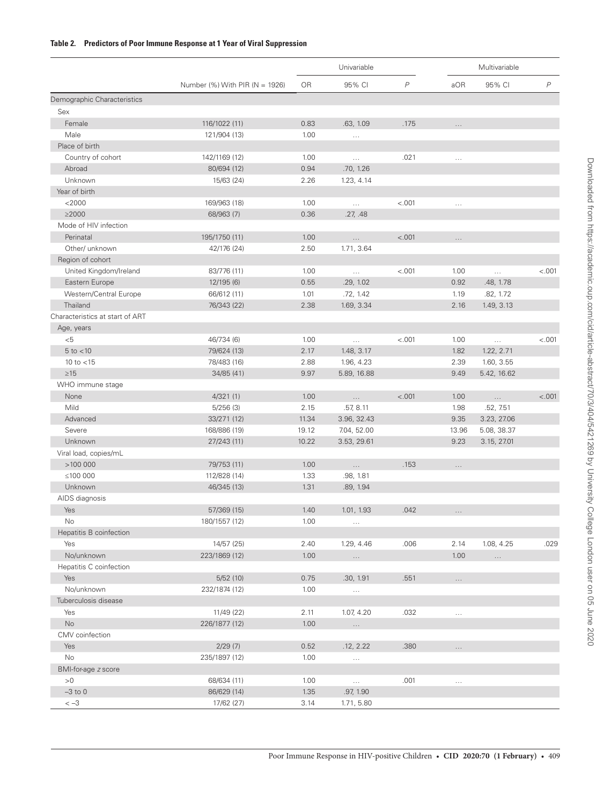## **Table 2. Predictors of Poor Immune Response at 1 Year of Viral Suppression**

|                                 |                                  |       | Univariable |                | Multivariable |             |               |
|---------------------------------|----------------------------------|-------|-------------|----------------|---------------|-------------|---------------|
|                                 | Number $%$ ) With PIR (N = 1926) | OR    | 95% CI      | $\overline{P}$ | aOR           | 95% CI      | $\mathcal{P}$ |
| Demographic Characteristics     |                                  |       |             |                |               |             |               |
| Sex                             |                                  |       |             |                |               |             |               |
| Female                          | 116/1022 (11)                    | 0.83  | .63, 1.09   | .175           | $\cdots$      |             |               |
| Male                            | 121/904 (13)                     | 1.00  | $\ldots$    |                |               |             |               |
| Place of birth                  |                                  |       |             |                |               |             |               |
| Country of cohort               | 142/1169 (12)                    | 1.00  | $\ldots$    | .021           | $\cdots$      |             |               |
| Abroad                          | 80/694 (12)                      | 0.94  | .70, 1.26   |                |               |             |               |
| Unknown                         | 15/63 (24)                       | 2.26  | 1.23, 4.14  |                |               |             |               |
| Year of birth                   |                                  |       |             |                |               |             |               |
| $<$ 2000                        | 169/963 (18)                     | 1.00  | $\ldots$    | < .001         | $\cdots$      |             |               |
| $\geq$ 2000                     | 68/963 (7)                       | 0.36  | .27, .48    |                |               |             |               |
| Mode of HIV infection           |                                  |       |             |                |               |             |               |
| Perinatal                       | 195/1750 (11)                    | 1.00  | $\ldots$    | < .001         | $\ldots$      |             |               |
| Other/ unknown                  | 42/176 (24)                      | 2.50  | 1.71, 3.64  |                |               |             |               |
| Region of cohort                |                                  |       |             |                |               |             |               |
| United Kingdom/Ireland          | 83/776 (11)                      | 1.00  | $\cdots$    | $-.001$        | 1.00          | $\ldots$    | $-.001$       |
| Eastern Europe                  | 12/195(6)                        | 0.55  | .29, 1.02   |                | 0.92          | .48, 1.78   |               |
| Western/Central Europe          | 66/612 (11)                      | 1.01  | .72, 1.42   |                | 1.19          | .82, 1.72   |               |
| Thailand                        | 76/343 (22)                      | 2.38  | 1.69, 3.34  |                | 2.16          | 1.49, 3.13  |               |
| Characteristics at start of ART |                                  |       |             |                |               |             |               |
| Age, years                      |                                  |       |             |                |               |             |               |
| $<$ 5                           | 46/734 (6)                       | 1.00  | $\cdots$    | < .001         | 1.00          | $\ldots$    | $-.001$       |
| $5$ to $<$ 10                   | 79/624 (13)                      | 2.17  | 1.48, 3.17  |                | 1.82          | 1.22, 2.71  |               |
| 10 to $<$ 15                    | 78/483 (16)                      | 2.88  | 1.96, 4.23  |                | 2.39          | 1.60, 3.55  |               |
| $\geq$ 15                       | 34/85 (41)                       | 9.97  | 5.89, 16.88 |                | 9.49          | 5.42, 16.62 |               |
| WHO immune stage                |                                  |       |             |                |               |             |               |
| None                            | 4/321(1)                         | 1.00  | $\ldots$    | $-.001$        | 1.00          | $\ldots$    | < .001        |
| Mild                            | 5/256(3)                         | 2.15  | .57, 8.11   |                | 1.98          | .52, 7.51   |               |
| Advanced                        | 33/271 (12)                      | 11.34 | 3.96, 32.43 |                | 9.35          | 3.23, 27.06 |               |
| Severe                          | 168/886 (19)                     | 19.12 | 7.04, 52.00 |                | 13.96         | 5.08, 38.37 |               |
| Unknown                         | 27/243 (11)                      | 10.22 | 3.53, 29.61 |                | 9.23          | 3.15, 27.01 |               |
| Viral load, copies/mL           |                                  |       |             |                |               |             |               |
| >100000                         | 79/753 (11)                      | 1.00  | $\ldots$    | .153           | $\cdots$      |             |               |
| ≤100 000                        | 112/828 (14)                     | 1.33  | .98, 1.81   |                |               |             |               |
| Unknown                         | 46/345 (13)                      | 1.31  | .89, 1.94   |                |               |             |               |
| AIDS diagnosis                  |                                  |       |             |                |               |             |               |
| Yes                             | 57/369 (15)                      | 1.40  | 1.01, 1.93  | .042           | $\cdots$      |             |               |
| No                              | 180/1557 (12)                    | 1.00  | $\ldots$    |                |               |             |               |
| Hepatitis B coinfection         |                                  |       |             |                |               |             |               |
| Yes                             | 14/57 (25)                       | 2.40  | 1.29, 4.46  | .006           | 2.14          | 1.08, 4.25  | .029          |
| No/unknown                      | 223/1869 (12)                    | 1.00  | $\ldots$    |                | 1.00          | $\cdots$    |               |
| Hepatitis C coinfection         |                                  |       |             |                |               |             |               |
| Yes                             | 5/52(10)                         | 0.75  | .30, 1.91   | .551           | $\cdots$      |             |               |
| No/unknown                      | 232/1874 (12)                    | 1.00  | $\ldots$    |                |               |             |               |
| Tuberculosis disease            |                                  |       |             |                |               |             |               |
| Yes                             | 11/49 (22)                       | 2.11  | 1.07, 4.20  | .032           | $\cdots$      |             |               |
| No                              | 226/1877 (12)                    | 1.00  | $\ldots$    |                |               |             |               |
| CMV coinfection                 |                                  |       |             |                |               |             |               |
| Yes                             | 2/29(7)                          | 0.52  | .12, 2.22   | .380           | $\cdots$      |             |               |
| No                              | 235/1897 (12)                    | 1.00  | $\ldots$    |                |               |             |               |
| BMI-for-age z score             |                                  |       |             |                |               |             |               |
| >0                              | 68/634 (11)                      | 1.00  | $\ldots$    | .001           | $\cdots$      |             |               |
| $-3$ to $0$                     | 86/629 (14)                      | 1.35  | .97, 1.90   |                |               |             |               |
| $<-3$                           | 17/62 (27)                       | 3.14  | 1.71, 5.80  |                |               |             |               |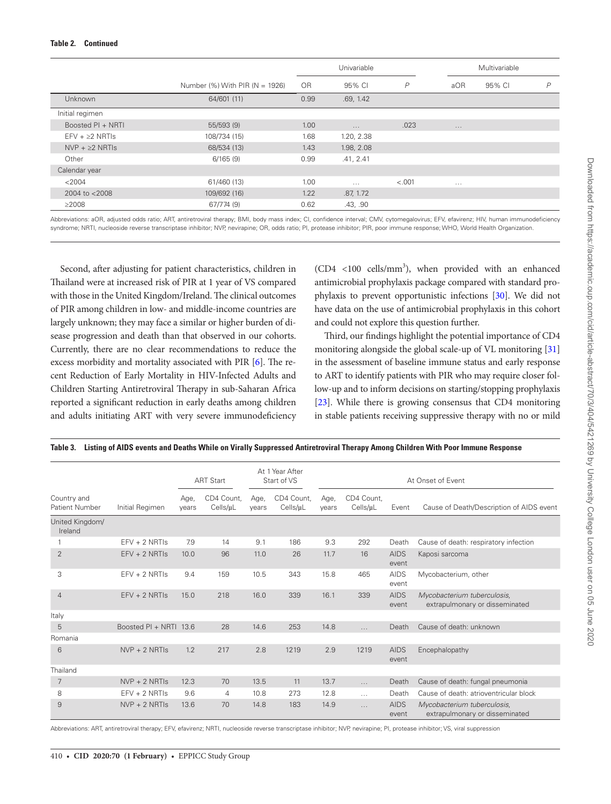|                      |                                  |           | Univariable |               |          | Multivariable |                |
|----------------------|----------------------------------|-----------|-------------|---------------|----------|---------------|----------------|
|                      | Number $%$ ) With PIR (N = 1926) | <b>OR</b> | 95% CI      | $\mathcal{P}$ | aOR      | 95% CI        | $\overline{P}$ |
| <b>Unknown</b>       | 64/601 (11)                      | 0.99      | .69, 1.42   |               |          |               |                |
| Initial regimen      |                                  |           |             |               |          |               |                |
| Boosted PI + NRTI    | 55/593 (9)                       | 1.00      | $\cdots$    | .023          | $\cdots$ |               |                |
| $EFV + \geq 2$ NRTIs | 108/734 (15)                     | 1.68      | 1.20, 2.38  |               |          |               |                |
| $NVP + \geq 2$ NRTIs | 68/534 (13)                      | 1.43      | 1.98, 2.08  |               |          |               |                |
| Other                | 6/165(9)                         | 0.99      | .41, 2.41   |               |          |               |                |
| Calendar year        |                                  |           |             |               |          |               |                |
| < 2004               | 61/460 (13)                      | 1.00      | $\cdots$    | < .001        | $\cdots$ |               |                |
| 2004 to <2008        | 109/692 (16)                     | 1.22      | .87, 1.72   |               |          |               |                |
| $\geq$ 2008          | 67/774 (9)                       | 0.62      | .43, .90    |               |          |               |                |

Abbreviations: aOR, adjusted odds ratio; ART, antiretroviral therapy; BMI, body mass index; CI, confidence interval; CMV, cytomegalovirus; EFV, efavirenz; HIV, human immunodeficiency syndrome; NRTI, nucleoside reverse transcriptase inhibitor; NVP, nevirapine; OR, odds ratio; PI, protease inhibitor; PIR, poor immune response; WHO, World Health Organization.

Second, after adjusting for patient characteristics, children in Thailand were at increased risk of PIR at 1 year of VS compared with those in the United Kingdom/Ireland. The clinical outcomes of PIR among children in low- and middle-income countries are largely unknown; they may face a similar or higher burden of disease progression and death than that observed in our cohorts. Currently, there are no clear recommendations to reduce the excess morbidity and mortality associated with PIR [6]. The recent Reduction of Early Mortality in HIV-Infected Adults and Children Starting Antiretroviral Therapy in sub-Saharan Africa reported a significant reduction in early deaths among children and adults initiating ART with very severe immunodeficiency

 $(CD4 < 100$  cells/mm<sup>3</sup>), when provided with an enhanced antimicrobial prophylaxis package compared with standard prophylaxis to prevent opportunistic infections [30]. We did not have data on the use of antimicrobial prophylaxis in this cohort and could not explore this question further.

Third, our findings highlight the potential importance of CD4 monitoring alongside the global scale-up of VL monitoring [31] in the assessment of baseline immune status and early response to ART to identify patients with PIR who may require closer follow-up and to inform decisions on starting/stopping prophylaxis [23]. While there is growing consensus that CD4 monitoring in stable patients receiving suppressive therapy with no or mild

|                               | Initial Regimen        | <b>ART Start</b> |                        | At 1 Year After<br>Start of VS |                        | At Onset of Event |                             |                      |                                                               |
|-------------------------------|------------------------|------------------|------------------------|--------------------------------|------------------------|-------------------|-----------------------------|----------------------|---------------------------------------------------------------|
| Country and<br>Patient Number |                        | Age,<br>years    | CD4 Count,<br>Cells/µL | Age,<br>years                  | CD4 Count.<br>Cells/uL | Age,<br>years     | CD4 Count.<br>$Cells/\mu L$ | Event                | Cause of Death/Description of AIDS event                      |
| United Kingdom/<br>Ireland    |                        |                  |                        |                                |                        |                   |                             |                      |                                                               |
|                               | $E FV + 2 NRT$         | 7.9              | 14                     | 9.1                            | 186                    | 9.3               | 292                         | Death                | Cause of death: respiratory infection                         |
| $\overline{2}$                | $EFV + 2$ NRTIs        | 10.0             | 96                     | 11.0                           | 26                     | 11.7              | 16                          | <b>AIDS</b><br>event | Kaposi sarcoma                                                |
| 3                             | $EFV + 2$ NRTIs        | 9.4              | 159                    | 10.5                           | 343                    | 15.8              | 465                         | <b>AIDS</b><br>event | Mycobacterium, other                                          |
| $\overline{4}$                | $EFV + 2$ NRTIs        | 15.0             | 218                    | 16.0                           | 339                    | 16.1              | 339                         | <b>AIDS</b><br>event | Mycobacterium tuberculosis,<br>extrapulmonary or disseminated |
| Italy                         |                        |                  |                        |                                |                        |                   |                             |                      |                                                               |
| 5                             | Boosted PI + NRTI 13.6 |                  | 28                     | 14.6                           | 253                    | 14.8              | $\cdots$                    | Death                | Cause of death: unknown                                       |
| <b>Romania</b>                |                        |                  |                        |                                |                        |                   |                             |                      |                                                               |
| 6                             | $NVP + 2 NRTIs$        | 1.2              | 217                    | 2.8                            | 1219                   | 2.9               | 1219                        | <b>AIDS</b><br>event | Encephalopathy                                                |
| Thailand                      |                        |                  |                        |                                |                        |                   |                             |                      |                                                               |
| 7                             | $NVP + 2 NRTIs$        | 12.3             | 70                     | 13.5                           | 11                     | 13.7              | $\cdots$                    | Death                | Cause of death: fungal pneumonia                              |
| 8                             | $E FV + 2 NRT$         | 9.6              | $\overline{4}$         | 10.8                           | 273                    | 12.8              | $\cdots$                    | Death                | Cause of death: atrioventricular block                        |
| $\mathsf 9$                   | $NVP + 2 NRTIs$        | 13.6             | 70                     | 14.8                           | 183                    | 14.9              | $\cdots$                    | <b>AIDS</b><br>event | Mycobacterium tuberculosis,<br>extrapulmonary or disseminated |

**Table 3. Listing of AIDS events and Deaths While on Virally Suppressed Antiretroviral Therapy Among Children With Poor Immune Response**

Abbreviations: ART, antiretroviral therapy; EFV, efavirenz; NRTI, nucleoside reverse transcriptase inhibitor; NVP, nevirapine; PI, protease inhibitor; VS, viral suppression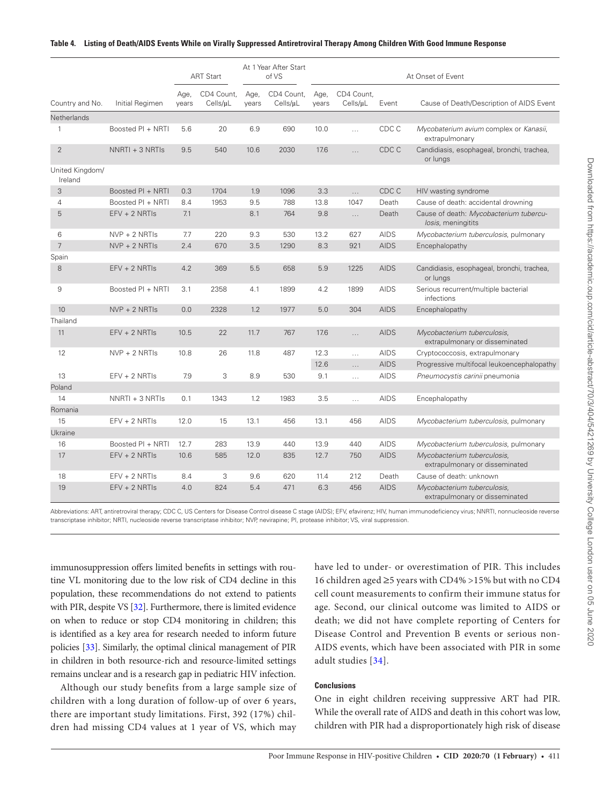|  |  |  | Table 4.    Listing of Death/AIDS Events While on Virally Suppressed Antiretroviral Therapy Among Children With Good Immune Response |  |
|--|--|--|--------------------------------------------------------------------------------------------------------------------------------------|--|
|  |  |  |                                                                                                                                      |  |

|                            |                   |               | <b>ART Start</b>       |               | At 1 Year After Start<br>of VS |               |                        |             | At Onset of Event                                             |
|----------------------------|-------------------|---------------|------------------------|---------------|--------------------------------|---------------|------------------------|-------------|---------------------------------------------------------------|
| Country and No.            | Initial Regimen   | Age,<br>years | CD4 Count,<br>Cells/uL | Age,<br>years | CD4 Count,<br>Cells/uL         | Age,<br>years | CD4 Count.<br>Cells/uL | Event       | Cause of Death/Description of AIDS Event                      |
| Netherlands                |                   |               |                        |               |                                |               |                        |             |                                                               |
| $\mathbf{1}$               | Boosted PI + NRTI | 5.6           | 20                     | 6.9           | 690                            | 10.0          | $\ddotsc$              | CDC C       | Mycobaterium avium complex or Kanasii,<br>extrapulmonary      |
| $\overline{2}$             | $NNRTI + 3 NRTIs$ | 9.5           | 540                    | 10.6          | 2030                           | 17.6          | $\cdots$               | CDC C       | Candidiasis, esophageal, bronchi, trachea,<br>or lungs        |
| United Kingdom/<br>Ireland |                   |               |                        |               |                                |               |                        |             |                                                               |
| 3                          | Boosted PI + NRTI | 0.3           | 1704                   | 1.9           | 1096                           | 3.3           | $\cdots$               | CDC C       | HIV wasting syndrome                                          |
| $\overline{4}$             | Boosted PI + NRTI | 8.4           | 1953                   | 9.5           | 788                            | 13.8          | 1047                   | Death       | Cause of death: accidental drowning                           |
| 5                          | $EFV + 2$ NRTIs   | 7.1           |                        | 8.1           | 764                            | 9.8           | $\cdots$               | Death       | Cause of death: Mycobacterium tubercu-<br>losis, meningitits  |
| 6                          | $NVP + 2$ NRTIs   | 7.7           | 220                    | 9.3           | 530                            | 13.2          | 627                    | <b>AIDS</b> | Mycobacterium tuberculosis, pulmonary                         |
| $\overline{7}$             | $NVP + 2 NRTIs$   | 2.4           | 670                    | 3.5           | 1290                           | 8.3           | 921                    | <b>AIDS</b> | Encephalopathy                                                |
| Spain                      |                   |               |                        |               |                                |               |                        |             |                                                               |
| 8                          | $EFV + 2$ NRTIs   | 4.2           | 369                    | 5.5           | 658                            | 5.9           | 1225                   | <b>AIDS</b> | Candidiasis, esophageal, bronchi, trachea,<br>or lungs        |
| 9                          | Boosted PI + NRTI | 3.1           | 2358                   | 4.1           | 1899                           | 4.2           | 1899                   | <b>AIDS</b> | Serious recurrent/multiple bacterial<br>infections            |
| 10                         | $NVP + 2$ NRTIs   | 0.0           | 2328                   | 1.2           | 1977                           | 5.0           | 304                    | <b>AIDS</b> | Encephalopathy                                                |
| Thailand                   |                   |               |                        |               |                                |               |                        |             |                                                               |
| 11                         | $EFV + 2$ NRTIs   | 10.5          | 22                     | 11.7          | 767                            | 17.6          | $\cdots$               | <b>AIDS</b> | Mycobacterium tuberculosis,<br>extrapulmonary or disseminated |
| 12                         | $NVP + 2 NRTIs$   | 10.8          | 26                     | 11.8          | 487                            | 12.3          | $\ldots$               | <b>AIDS</b> | Cryptococcosis, extrapulmonary                                |
|                            |                   |               |                        |               |                                | 12.6          | $\cdots$               | <b>AIDS</b> | Progressive multifocal leukoencephalopathy                    |
| 13                         | $EFV + 2$ NRTIs   | 7.9           | 3                      | 8.9           | 530                            | 9.1           | $\cdots$               | <b>AIDS</b> | Pneumocystis carinii pneumonia                                |
| Poland                     |                   |               |                        |               |                                |               |                        |             |                                                               |
| 14                         | $NNRTI + 3 NRTIs$ | 0.1           | 1343                   | 1.2           | 1983                           | 3.5           | $\cdots$               | <b>AIDS</b> | Encephalopathy                                                |
| Romania                    |                   |               |                        |               |                                |               |                        |             |                                                               |
| 15                         | EFV + 2 NRTIs     | 12.0          | 15                     | 13.1          | 456                            | 13.1          | 456                    | <b>AIDS</b> | Mycobacterium tuberculosis, pulmonary                         |
| Ukraine                    |                   |               |                        |               |                                |               |                        |             |                                                               |
| 16                         | Boosted PI + NRTI | 12.7          | 283                    | 13.9          | 440                            | 13.9          | 440                    | <b>AIDS</b> | Mycobacterium tuberculosis, pulmonary                         |
| 17                         | $E FV + 2 NRTIs$  | 10.6          | 585                    | 12.0          | 835                            | 12.7          | 750                    | <b>AIDS</b> | Mycobacterium tuberculosis,<br>extrapulmonary or disseminated |
| 18                         | $EFV + 2$ NRTIs   | 8.4           | 3                      | 9.6           | 620                            | 11.4          | 212                    | Death       | Cause of death: unknown                                       |
| 19                         | $EFV + 2$ NRTIs   | 4.0           | 824                    | 5.4           | 471                            | 6.3           | 456                    | <b>AIDS</b> | Mycobacterium tuberculosis,<br>extrapulmonary or disseminated |

Abbreviations: ART, antiretroviral therapy; CDC C, US Centers for Disease Control disease C stage (AIDS); EFV, efavirenz; HIV, human immunodeficiency virus; NNRTI, nonnucleoside reverse transcriptase inhibitor; NRTI, nucleoside reverse transcriptase inhibitor; NVP, nevirapine; PI, protease inhibitor; VS, viral suppression.

immunosuppression offers limited benefits in settings with routine VL monitoring due to the low risk of CD4 decline in this population, these recommendations do not extend to patients with PIR, despite VS [32]. Furthermore, there is limited evidence on when to reduce or stop CD4 monitoring in children; this is identified as a key area for research needed to inform future policies [33]. Similarly, the optimal clinical management of PIR in children in both resource-rich and resource-limited settings remains unclear and is a research gap in pediatric HIV infection.

Although our study benefits from a large sample size of children with a long duration of follow-up of over 6 years, there are important study limitations. First, 392 (17%) children had missing CD4 values at 1 year of VS, which may have led to under- or overestimation of PIR. This includes 16 children aged ≥5 years with CD4% >15% but with no CD4 cell count measurements to confirm their immune status for age. Second, our clinical outcome was limited to AIDS or death; we did not have complete reporting of Centers for Disease Control and Prevention B events or serious non-AIDS events, which have been associated with PIR in some adult studies [34].

# **Conclusions**

One in eight children receiving suppressive ART had PIR. While the overall rate of AIDS and death in this cohort was low, children with PIR had a disproportionately high risk of disease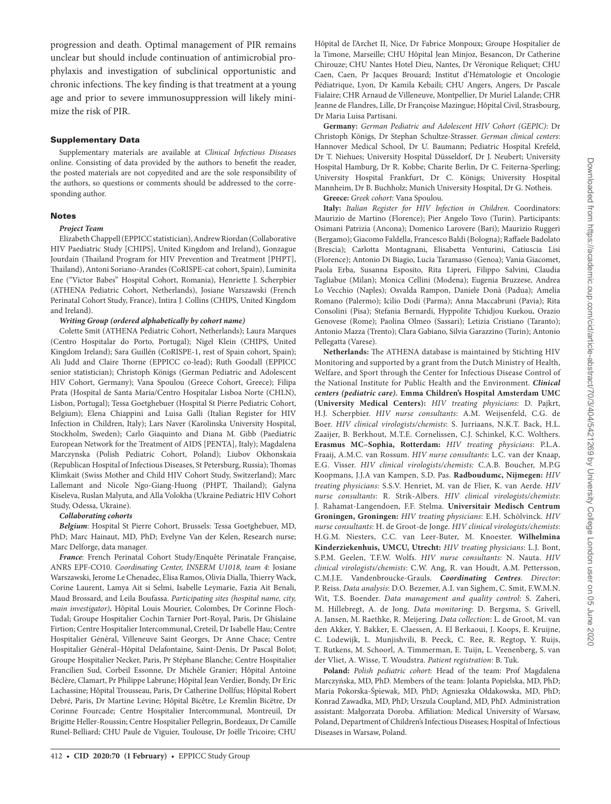progression and death. Optimal management of PIR remains unclear but should include continuation of antimicrobial prophylaxis and investigation of subclinical opportunistic and chronic infections. The key finding is that treatment at a young age and prior to severe immunosuppression will likely minimize the risk of PIR.

### Supplementary Data

Supplementary materials are available at *Clinical Infectious Diseases* online. Consisting of data provided by the authors to benefit the reader, the posted materials are not copyedited and are the sole responsibility of the authors, so questions or comments should be addressed to the corresponding author.

#### **Notes**

#### *Project Team*

Elizabeth Chappell (EPPICC statistician), Andrew Riordan (Collaborative HIV Paediatric Study [CHIPS], United Kingdom and Ireland), Gonzague Jourdain (Thailand Program for HIV Prevention and Treatment [PHPT], Thailand), Antoni Soriano-Arandes (CoRISPE-cat cohort, Spain), Luminita Ene ("Victor Babes" Hospital Cohort, Romania), Henriette J. Scherpbier (ATHENA Pediatric Cohort, Netherlands), Josiane Warszawski (French Perinatal Cohort Study, France), Intira J. Collins (CHIPS, United Kingdom and Ireland).

#### *Writing Group (ordered alphabetically by cohort name)*

Colette Smit (ATHENA Pediatric Cohort, Netherlands); Laura Marques (Centro Hospitalar do Porto, Portugal); Nigel Klein (CHIPS, United Kingdom Ireland); Sara Guillén (CoRISPE-1, rest of Spain cohort, Spain); Ali Judd and Claire Thorne (EPPICC co-lead); Ruth Goodall (EPPICC senior statistician); Christoph Königs (German Pediatric and Adolescent HIV Cohort, Germany); Vana Spoulou (Greece Cohort, Greece); Filipa Prata (Hospital de Santa Maria/Centro Hospitalar Lisboa Norte (CHLN), Lisbon, Portugal); Tessa Goetghebuer (Hospital St Pierre Pediatric Cohort, Belgium); Elena Chiappini and Luisa Galli (Italian Register for HIV Infection in Children, Italy); Lars Naver (Karolinska University Hospital, Stockholm, Sweden); Carlo Giaquinto and Diana M. Gibb (Paediatric European Network for the Treatment of AIDS [PENTA], Italy); Magdalena Marczynska (Polish Pediatric Cohort, Poland); Liubov Okhonskaia (Republican Hospital of Infectious Diseases, St Petersburg, Russia); Thomas Klimkait (Swiss Mother and Child HIV Cohort Study, Switzerland); Marc Lallemant and Nicole Ngo-Giang-Huong (PHPT, Thailand); Galyna Kiseleva, Ruslan Malyuta, and Alla Volokha (Ukraine Pediatric HIV Cohort Study, Odessa, Ukraine).

#### *Collaborating cohorts*

*Belgium*: Hospital St Pierre Cohort, Brussels: Tessa Goetghebuer, MD, PhD; Marc Hainaut, MD, PhD; Evelyne Van der Kelen, Research nurse; Marc Delforge, data manager.

*France*: French Perinatal Cohort Study/Enquête Périnatale Française, ANRS EPF-CO10. *Coordinating Center, INSERM U1018, team 4*: Josiane Warszawski, Jerome Le Chenadec, Elisa Ramos, Olivia Dialla, Thierry Wack, Corine Laurent, Lamya Ait si Selmi, Isabelle Leymarie, Fazia Ait Benali, Maud Brossard, and Leila Boufassa. *Participating sites (hospital name, city, main investigator)***.** Hôpital Louis Mourier, Colombes, Dr Corinne Floch-Tudal; Groupe Hospitalier Cochin Tarnier Port-Royal, Paris, Dr Ghislaine Firtion; Centre Hospitalier Intercommunal, Creteil, Dr Isabelle Hau; Centre Hospitalier Général, Villeneuve Saint Georges, Dr Anne Chace; Centre Hospitalier Général–Hôpital Delafontaine, Saint-Denis, Dr Pascal Bolot; Groupe Hospitalier Necker, Paris, Pr Stéphane Blanche; Centre Hospitalier Francilien Sud, Corbeil Essonne, Dr Michèle Granier; Hôpital Antoine Béclère, Clamart, Pr Philippe Labrune; Hôpital Jean Verdier, Bondy, Dr Eric Lachassine; Hôpital Trousseau, Paris, Dr Catherine Dollfus; Hôpital Robert Debré, Paris, Dr Martine Levine; Hôpital Bicêtre, Le Kremlin Bicëtre, Dr Corinne Fourcade; Centre Hospitalier Intercommunal, Montreuil, Dr Brigitte Heller-Roussin; Centre Hospitalier Pellegrin, Bordeaux, Dr Camille Runel-Belliard; CHU Paule de Viguier, Toulouse, Dr Joëlle Tricoire; CHU Hôpital de l'Archet II, Nice, Dr Fabrice Monpoux; Groupe Hospitalier de la Timone, Marseille; CHU Hôpital Jean Minjoz, Besancon, Dr Catherine Chirouze; CHU Nantes Hotel Dieu, Nantes, Dr Véronique Reliquet; CHU Caen, Caen, Pr Jacques Brouard; Institut d'Hématologie et Oncologie Pédiatrique, Lyon, Dr Kamila Kebaili; CHU Angers, Angers, Dr Pascale Fialaire; CHR Arnaud de Villeneuve, Montpellier, Dr Muriel Lalande; CHR Jeanne de Flandres, Lille, Dr Françoise Mazingue; Hôpital Civil, Strasbourg, Dr Maria Luisa Partisani.

**Germany:** *German Pediatric and Adolescent HIV Cohort (GEPIC)*: Dr Christoph Königs, Dr Stephan Schultze-Strasser. *German clinical centers*: Hannover Medical School, Dr U. Baumann; Pediatric Hospital Krefeld, Dr T. Niehues; University Hospital Düsseldorf, Dr J. Neubert; University Hospital Hamburg, Dr R. Kobbe; Charite Berlin, Dr C. Feiterna-Sperling; University Hospital Frankfurt, Dr C. Königs; University Hospital Mannheim, Dr B. Buchholz; Munich University Hospital, Dr G. Notheis.

**Greece:** *Greek cohort*: Vana Spoulou.

**Italy:** *Italian Register for HIV Infection in Children*. Coordinators: Maurizio de Martino (Florence); Pier Angelo Tovo (Turin). Participants: Osimani Patrizia (Ancona); Domenico Larovere (Bari); Maurizio Ruggeri (Bergamo); Giacomo Faldella, Francesco Baldi (Bologna); Raffaele Badolato (Brescia); Carlotta Montagnani, Elisabetta Venturini, Catiuscia Lisi (Florence); Antonio Di Biagio, Lucia Taramasso (Genoa); Vania Giacomet, Paola Erba, Susanna Esposito, Rita Lipreri, Filippo Salvini, Claudia Tagliabue (Milan); Monica Cellini (Modena); Eugenia Bruzzese, Andrea Lo Vecchio (Naples); Osvalda Rampon, Daniele Donà (Padua); Amelia Romano (Palermo); Icilio Dodi (Parma); Anna Maccabruni (Pavia); Rita Consolini (Pisa); Stefania Bernardi, Hyppolite Tchidjou Kuekou, Orazio Genovese (Rome); Paolina Olmeo (Sassari); Letizia Cristiano (Taranto); Antonio Mazza (Trento); Clara Gabiano, Silvia Garazzino (Turin); Antonio Pellegatta (Varese).

**Netherlands:** The ATHENA database is maintained by Stichting HIV Monitoring and supported by a grant from the Dutch Ministry of Health, Welfare, and Sport through the Center for Infectious Disease Control of the National Institute for Public Health and the Environment. *Clinical centers (pediatric care).* **Emma Children's Hospital Amsterdam UMC (University Medical Centers):** *HIV treating physicians*: D. Pajkrt, H.J. Scherpbier. *HIV nurse consultants*: A.M. Weijsenfeld, C.G. de Boer. *HIV clinical virologists/chemists*: S. Jurriaans, N.K.T. Back, H.L. Zaaijer, B. Berkhout, M.T.E. Cornelissen, C.J. Schinkel, K.C. Wolthers. **Erasmus MC–Sophia, Rotterdam:** *HIV treating physicians*: P.L.A. Fraaij, A.M.C. van Rossum. *HIV nurse consultants*: L.C. van der Knaap, E.G. Visser. *HIV clinical virologists/chemists:* C.A.B. Boucher, M.P.G Koopmans, J.J.A van Kampen, S.D. Pas. **Radboudumc, Nijmegen:** *HIV treating physicians*: S.S.V. Henriet, M. van de Flier, K. van Aerde. *HIV nurse consultants*: R. Strik-Albers. *HIV clinical virologists/chemists*: J. Rahamat-Langendoen, F.F. Stelma. **Universitair Medisch Centrum Groningen, Groningen:** *HIV treating physicians*: E.H. Schölvinck. *HIV nurse consultants*: H. de Groot-de Jonge. *HIV clinical virologists/chemists*: H.G.M. Niesters, C.C. van Leer-Buter, M. Knoester. **Wilhelmina Kinderziekenhuis, UMCU, Utrecht:** *HIV treating physicians*: L.J. Bont, S.P.M. Geelen, T.F.W. Wolfs. *HIV nurse consultants*: N. Nauta. *HIV clinical virologists/chemists*: C.W. Ang, R. van Houdt, A.M. Pettersson, C.M.J.E. Vandenbroucke-Grauls. *Coordinating Centres*. *Director*: P. Reiss. *Data analysis*: D.O. Bezemer, A.I. van Sighem, C. Smit, F.W.M.N. Wit, T.S. Boender. *Data management and quality control*: S. Zaheri, M. Hillebregt, A. de Jong. *Data monitoring*: D. Bergsma, S. Grivell, A. Jansen, M. Raethke, R. Meijering. *Data collection*: L. de Groot, M. van den Akker, Y. Bakker, E. Claessen, A. El Berkaoui, J. Koops, E. Kruijne, C. Lodewijk, L. Munjishvili, B. Peeck, C. Ree, R. Regtop, Y. Ruijs, T. Rutkens, M. Schoorl, A. Timmerman, E. Tuijn, L. Veenenberg, S. van der Vliet, A. Wisse, T. Woudstra. *Patient registration*: B. Tuk.

**Poland:** *Polish pediatric cohort*: Head of the team: Prof Magdalena Marczyńska, MD, PhD. Members of the team: Jolanta Popielska, MD, PhD; Maria Pokorska-Śpiewak, MD, PhD; Agnieszka Ołdakowska, MD, PhD; Konrad Zawadka, MD, PhD; Urszula Coupland, MD, PhD. Administration assistant: Małgorzata Doroba. Affiliation: Medical University of Warsaw, Poland, Department of Children's Infectious Diseases; Hospital of Infectious Diseases in Warsaw, Poland.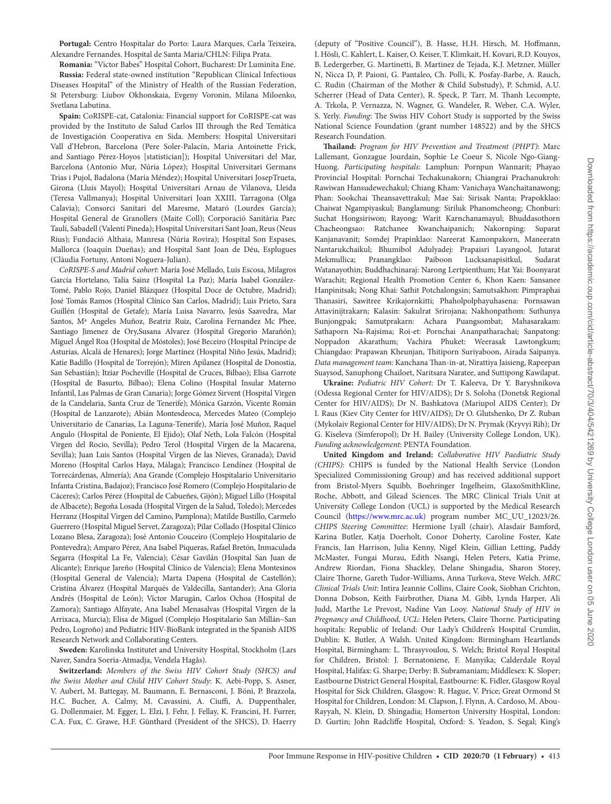**Portugal:** Centro Hospitalar do Porto: Laura Marques, Carla Teixeira, Alexandre Fernandes. Hospital de Santa Maria/CHLN: Filipa Prata.

**Romania:** "Victor Babes" Hospital Cohort, Bucharest: Dr Luminita Ene.

**Russia:** Federal state-owned institution "Republican Clinical Infectious Diseases Hospital" of the Ministry of Health of the Russian Federation, St Petersburg: Liubov Okhonskaia, Evgeny Voronin, Milana Miloenko, Svetlana Labutina.

**Spain:** CoRISPE-cat, Catalonia: Financial support for CoRISPE-cat was provided by the Instituto de Salud Carlos III through the Red Temática de Investigación Cooperativa en Sida. Members: Hospital Universitari Vall d'Hebron, Barcelona (Pere Soler-Palacín, Maria Antoinette Frick, and Santiago Pérez-Hoyos [statistician]); Hospital Universitari del Mar, Barcelona (Antonio Mur, Núria López); Hospital Universitari Germans Trias i Pujol, Badalona (María Méndez); Hospital Universitari JosepTrueta, Girona (Lluís Mayol); Hospital Universitari Arnau de Vilanova, Lleida (Teresa Vallmanya); Hospital Universitari Joan XXIII, Tarragona (Olga Calavia); Consorci Sanitari del Maresme, Mataró (Lourdes García); Hospital General de Granollers (Maite Coll); Corporació Sanitària Parc Taulí, Sabadell (Valentí Pineda); Hospital Universitari Sant Joan, Reus (Neus Rius); Fundació Althaia, Manresa (Núria Rovira); Hospital Son Espases, Mallorca (Joaquín Dueñas); and Hospital Sant Joan de Déu, Esplugues (Clàudia Fortuny, Antoni Noguera-Julian).

*CoRISPE-S and Madrid cohort*: María José Mellado, Luis Escosa, Milagros García Hortelano, Talía Sainz (Hospital La Paz); María Isabel González-Tomé, Pablo Rojo, Daniel Blázquez (Hospital Doce de Octubre, Madrid); José Tomás Ramos (Hospital Clínico San Carlos, Madrid); Luis Prieto, Sara Guillén (Hospital de Getafe); María Luisa Navarro, Jesús Saavedra, Mar Santos, Mª Angeles Muñoz, Beatriz Ruiz, Carolina Fernandez Mc Phee, Santiago Jimenez de Ory,Susana Alvarez (Hospital Gregorio Marañón); Miguel Ángel Roa (Hospital de Móstoles); José Beceiro (Hospital Príncipe de Asturias, Alcalá de Henares); Jorge Martínez (Hospital Niño Jesús, Madrid); Katie Badillo (Hospital de Torrejón); Miren Apilanez (Hospital de Donostia, San Sebastián); Itziar Pocheville (Hospital de Cruces, Bilbao); Elisa Garrote (Hospital de Basurto, Bilbao); Elena Colino (Hospital Insular Materno Infantil, Las Palmas de Gran Canaria); Jorge Gómez Sirvent (Hospital Virgen de la Candelaria, Santa Cruz de Tenerife); Mónica Garzón, Vicente Román (Hospital de Lanzarote); Abián Montesdeoca, Mercedes Mateo (Complejo Universitario de Canarias, La Laguna-Tenerife), María José Muñoz, Raquel Angulo (Hospital de Poniente, El Ejido); Olaf Neth, Lola Falcón (Hospital Virgen del Rocio, Sevilla); Pedro Terol (Hospital Virgen de la Macarena, Sevilla); Juan Luis Santos (Hospital Virgen de las Nieves, Granada); David Moreno (Hospital Carlos Haya, Málaga); Francisco Lendínez (Hospital de Torrecárdenas, Almería); Ana Grande (Complejo Hospitalario Universitario Infanta Cristina, Badajoz); Francisco José Romero (Complejo Hospitalario de Cáceres); Carlos Pérez (Hospital de Cabueñes, Gijón); Miguel Lillo (Hospital de Albacete); Begoña Losada (Hospital Virgen de la Salud, Toledo); Mercedes Herranz (Hospital Virgen del Camino, Pamplona); Matilde Bustillo, Carmelo Guerrero (Hospital Miguel Servet, Zaragoza); Pilar Collado (Hospital Clínico Lozano Blesa, Zaragoza); José Antonio Couceiro (Complejo Hospitalario de Pontevedra); Amparo Pérez, Ana Isabel Piqueras, Rafael Bretón, Inmaculada Segarra (Hospital La Fe, Valencia); César Gavilán (Hospital San Juan de Alicante); Enrique Jareño (Hospital Clínico de Valencia); Elena Montesinos (Hospital General de Valencia); Marta Dapena (Hospital de Castellón); Cristina Álvarez (Hospital Marqués de Valdecilla, Santander); Ana Gloria Andrés (Hospital de León); Víctor Marugán, Carlos Ochoa (Hospital de Zamora); Santiago Alfayate, Ana Isabel Menasalvas (Hospital Virgen de la Arrixaca, Murcia); Elisa de Miguel (Complejo Hospitalario San Millán–San Pedro, Logroño) and Pediatric HIV-BioBank integrated in the Spanish AIDS Research Network and Collaborating Centers.

**Sweden:** Karolinska Institutet and University Hospital, Stockholm (Lars Naver, Sandra Soeria-Atmadja, Vendela Hagås).

**Switzerland:** *Members of the Swiss HIV Cohort Study (SHCS) and the Swiss Mother and Child HIV Cohort Study*: K. Aebi-Popp, S. Asner, V. Aubert, M. Battegay, M. Baumann, E. Bernasconi, J. Böni, P. Brazzola, H.C. Bucher, A. Calmy, M. Cavassini, A. Ciuffi, A. Duppenthaler, G. Dollenmaier, M. Egger, L. Elzi, J. Fehr, J. Fellay, K. Francini, H. Furrer, C.A. Fux, C. Grawe, H.F. Günthard (President of the SHCS), D. Haerry (deputy of "Positive Council"), B. Hasse, H.H. Hirsch, M. Hoffmann, I. Hösli, C. Kahlert, L. Kaiser, O. Keiser, T. Klimkait, H. Kovari, R.D. Kouyos, B. Ledergerber, G. Martinetti, B. Martinez de Tejada, K.J. Metzner, Müller N, Nicca D, P. Paioni, G. Pantaleo, Ch. Polli, K. Posfay-Barbe, A. Rauch, C. Rudin (Chairman of the Mother & Child Substudy), P. Schmid, A.U. Scherrer (Head of Data Center), R. Speck, P. Tarr, M. Thanh Lecompte, A. Trkola, P. Vernazza, N. Wagner, G. Wandeler, R. Weber, C.A. Wyler, S. Yerly. *Funding*: The Swiss HIV Cohort Study is supported by the Swiss National Science Foundation (grant number 148522) and by the SHCS Research Foundation.

**Thailand:** *Program for HIV Prevention and Treatment (PHPT)*: Marc Lallemant, Gonzague Jourdain, Sophie Le Coeur S, Nicole Ngo-Giang-Huong. *Participating hospitals*: Lamphun: Pornpun Wannarit; Phayao Provincial Hospital: Pornchai Techakunakorn; Chiangrai Prachanukroh: Rawiwan Hansudewechakul; Chiang Kham: Vanichaya Wanchaitanawong; Phan: Sookchai Theansavettrakul; Mae Sai: Sirisak Nanta; Prapokklao: Chaiwat Ngampiyaskul; Banglamung: Siriluk Phanomcheong; Chonburi: Suchat Hongsiriwon; Rayong: Warit Karnchanamayul; Bhuddasothorn Chacheongsao: Ratchanee Kwanchaipanich; Nakornping: Suparat Kanjanavanit; Somdej Prapinklao: Nareerat Kamonpakorn, Maneeratn Nantarukchaikul; Bhumibol Adulyadej: Prapaisri Layangool, Jutarat Mekmullica; Pranangklao: Paiboon Lucksanapisitkul, Sudarat Watanayothin; Buddhachinaraj: Narong Lertpienthum; Hat Yai: Boonyarat Warachit; Regional Health Promotion Center 6, Khon Kaen: Sansanee Hanpinitsak; Nong Khai: Sathit Potchalongsin; Samutsakhon: Pimpraphai Thanasiri, Sawitree Krikajornkitti; Phaholpolphayuhasena: Pornsawan Attavinijtrakarn; Kalasin: Sakulrat Srirojana; Nakhonpathom: Suthunya Bunjongpak; Samutprakarn: Achara Puangsombat; Mahasarakam: Sathaporn Na-Rajsima; Roi-et: Pornchai Ananpatharachai; Sanpatong: Noppadon Akarathum; Vachira Phuket: Weerasak Lawtongkum; Chiangdao: Prapawan Kheunjan, Thitiporn Suriyaboon, Airada Saipanya. *Data management team*: Kanchana Than-in-at, Nirattiya Jaisieng, Rapeepan Suaysod, Sanuphong Chailoet, Naritsara Naratee, and Suttipong Kawilapat.

**Ukraine:** *Pediatric HIV Cohort*: Dr T. Kaleeva, Dr Y. Baryshnikova (Odessa Regional Center for HIV/AIDS); Dr S. Soloha (Donetsk Regional Center for HIV/AIDS); Dr N. Bashkatova (Mariupol AIDS Center); Dr I. Raus (Kiev City Center for HIV/AIDS); Dr O. Glutshenko, Dr Z. Ruban (Mykolaiv Regional Center for HIV/AIDS); Dr N. Prymak (Kryvyi Rih); Dr G. Kiseleva (Simferopol); Dr H. Bailey (University College London, UK). *Funding acknowledgement*: PENTA Foundation.

**United Kingdom and Ireland:** *Collaborative HIV Paediatric Study (CHIPS)*: CHIPS is funded by the National Health Service (London Specialized Commissioning Group) and has received additional support from Bristol-Myers Squibb, Boehringer Ingelheim, GlaxoSmithKline, Roche, Abbott, and Gilead Sciences. The MRC Clinical Trials Unit at University College London (UCL) is supported by the Medical Research Council (https://www.mrc.ac.uk) program number MC\_UU\_12023/26. *CHIPS Steering Committee*: Hermione Lyall (chair), Alasdair Bamford, Karina Butler, Katja Doerholt, Conor Doherty, Caroline Foster, Kate Francis, Ian Harrison, Julia Kenny, Nigel Klein, Gillian Letting, Paddy McMaster, Fungai Murau, Edith Nsangi, Helen Peters, Katia Prime, Andrew Riordan, Fiona Shackley, Delane Shingadia, Sharon Storey, Claire Thorne, Gareth Tudor-Williams, Anna Turkova, Steve Welch. *MRC Clinical Trials Unit*: Intira Jeannie Collins, Claire Cook, Siobhan Crichton, Donna Dobson, Keith Fairbrother, Diana M. Gibb, Lynda Harper, Ali Judd, Marthe Le Prevost, Nadine Van Looy. *National Study of HIV in Pregnancy and Childhood, UCL*: Helen Peters, Claire Thorne. Participating hospitals: Republic of Ireland: Our Lady's Children's Hospital Crumlin, Dublin: K. Butler, A Walsh. United Kingdom: Birmingham Heartlands Hospital, Birmingham: L. Thrasyvoulou, S. Welch; Bristol Royal Hospital for Children, Bristol: J. Bernatoniene, F. Manyika; Calderdale Royal Hospital, Halifax: G. Sharpe; Derby: B. Subramaniam; Middlesex: K. Sloper; Eastbourne District General Hospital, Eastbourne: K. Fidler, Glasgow Royal Hospital for Sick Children, Glasgow: R. Hague, V. Price; Great Ormond St Hospital for Children, London: M. Clapson, J. Flynn, A. Cardoso, M. Abou-Rayyah, N. Klein, D. Shingadia; Homerton University Hospital, London: D. Gurtin; John Radcliffe Hospital, Oxford: S. Yeadon, S. Segal; King's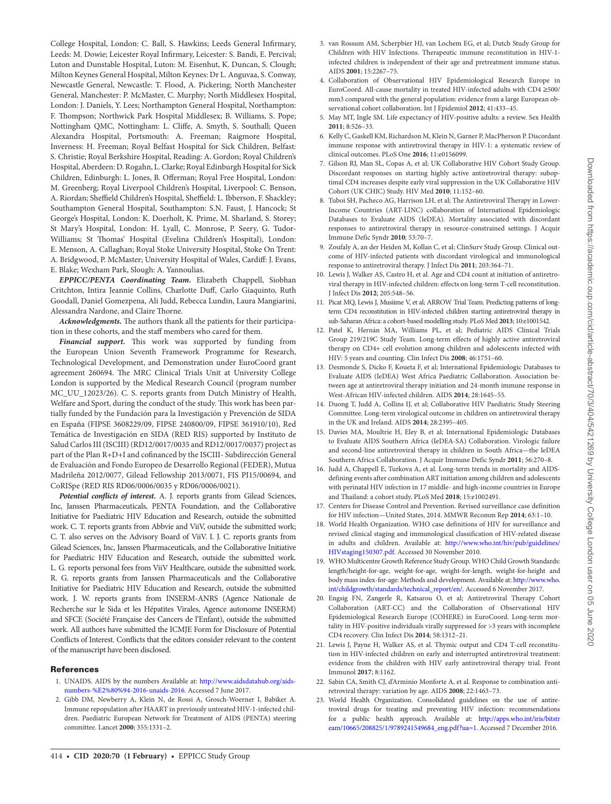College Hospital, London: C. Ball, S. Hawkins; Leeds General Infirmary, Leeds: M. Dowie; Leicester Royal Infirmary, Leicester: S. Bandi, E. Percival; Luton and Dunstable Hospital, Luton: M. Eisenhut, K. Duncan, S. Clough; Milton Keynes General Hospital, Milton Keynes: Dr L. Anguvaa, S. Conway, Newcastle General, Newcastle: T. Flood, A. Pickering; North Manchester General, Manchester: P. McMaster, C. Murphy; North Middlesex Hospital, London: J. Daniels, Y. Lees; Northampton General Hospital, Northampton: F. Thompson; Northwick Park Hospital Middlesex; B. Williams, S. Pope; Nottingham QMC, Nottingham: L. Cliffe, A. Smyth, S. Southall; Queen Alexandra Hospital, Portsmouth: A. Freeman; Raigmore Hospital, Inverness: H. Freeman; Royal Belfast Hospital for Sick Children, Belfast: S. Christie; Royal Berkshire Hospital, Reading: A. Gordon; Royal Children's Hospital, Aberdeen: D. Rogahn, L. Clarke; Royal Edinburgh Hospital for Sick Children, Edinburgh: L. Jones, B. Offerman; Royal Free Hospital, London: M. Greenberg; Royal Liverpool Children's Hospital, Liverpool: C. Benson, A. Riordan; Sheffield Children's Hospital, Sheffield: L. Ibberson, F. Shackley; Southampton General Hospital, Southampton: S.N. Faust, J. Hancock; St George's Hospital, London: K. Doerholt, K. Prime, M. Sharland, S. Storey; St Mary's Hospital, London: H. Lyall, C. Monrose, P. Seery, G. Tudor-Williams; St Thomas' Hospital (Evelina Children's Hospital), London: E. Menson, A. Callaghan; Royal Stoke University Hospital, Stoke On Trent: A. Bridgwood, P. McMaster; University Hospital of Wales, Cardiff: J. Evans, E. Blake; Wexham Park, Slough: A. Yannoulias.

*EPPICC/PENTA Coordinating Team***.** Elizabeth Chappell, Siobhan Critchton, Intira Jeannie Collins, Charlotte Duff, Carlo Giaquinto, Ruth Goodall, Daniel Gomezpena, Ali Judd, Rebecca Lundin, Laura Mangiarini, Alessandra Nardone, and Claire Thorne.

*Acknowledgments.* The authors thank all the patients for their participation in these cohorts, and the staff members who cared for them.

*Financial support.* This work was supported by funding from the European Union Seventh Framework Programme for Research, Technological Development, and Demonstration under EuroCoord grant agreement 260694. The MRC Clinical Trials Unit at University College London is supported by the Medical Research Council (program number MC\_UU\_12023/26). C. S. reports grants from Dutch Ministry of Health, Welfare and Sport, during the conduct of the study. This work has been partially funded by the Fundación para la Investigación y Prevención de SIDA en España (FIPSE 3608229/09, FIPSE 240800/09, FIPSE 361910/10), Red Temática de Investigación en SIDA (RED RIS) supported by Instituto de Salud Carlos III (ISCIII) (RD12/0017/0035 and RD12/0017/0037) project as part of the Plan R+D+I and cofinanced by the ISCIII- Subdirección General de Evaluación and Fondo Europeo de Desarrollo Regional (FEDER), Mutua Madrileña 2012/0077, Gilead Fellowship 2013/0071, FIS PI15/00694, and CoRISpe (RED RIS RD06/0006/0035 y RD06/0006/0021).

Potential conflicts of interest. A. J. reports grants from Gilead Sciences, Inc, Janssen Pharmaceuticals, PENTA Foundation, and the Collaborative Initiative for Paediatric HIV Education and Research, outside the submitted work. C. T. reports grants from Abbvie and ViiV, outside the submitted work; C. T. also serves on the Advisory Board of ViiV. I. J. C. reports grants from Gilead Sciences, Inc, Janssen Pharmaceuticals, and the Collaborative Initiative for Paediatric HIV Education and Research, outside the submitted work. L. G. reports personal fees from ViiV Healthcare, outside the submitted work. R. G. reports grants from Janssen Pharmaceuticals and the Collaborative Initiative for Paediatric HIV Education and Research, outside the submitted work. J. W. reports grants from INSERM-ANRS (Agence Nationale de Recherche sur le Sida et les Hépatites Virales, Agence autonome INSERM) and SFCE (Société Française des Cancers de l'Enfant), outside the submitted work. All authors have submitted the ICMJE Form for Disclosure of Potential Conflicts of Interest. Conflicts that the editors consider relevant to the content of the manuscript have been disclosed.

#### References

- 1. UNAIDS. AIDS by the numbers Available at: http://www.aidsdatahub.org/aidsnumbers-%E2%80%94-2016-unaids-2016. Accessed 7 June 2017.
- 2. Gibb DM, Newberry A, Klein N, de Rossi A, Grosch-Woerner I, Babiker A. Immune repopulation after HAART in previously untreated HIV-1-infected children. Paediatric European Network for Treatment of AIDS (PENTA) steering committee. Lancet **2000**; 355:1331–2.
- 3. van Rossum AM, Scherpbier HJ, van Lochem EG, et al; Dutch Study Group for Children with HIV Infections. Therapeutic immune reconstitution in HIV-1 infected children is independent of their age and pretreatment immune status. AIDS **2001**; 15:2267–75.
- 4. Collaboration of Observational HIV Epidemiological Research Europe in EuroCoord. All-cause mortality in treated HIV-infected adults with CD4 ≥500/ mm3 compared with the general population: evidence from a large European observational cohort collaboration. Int J Epidemiol **2012**; 41:433–45.
- 5. May MT, Ingle SM. Life expectancy of HIV-positive adults: a review. Sex Health **2011**; 8:526–33.
- 6. Kelly C, Gaskell KM, Richardson M, Klein N, Garner P, MacPherson P. Discordant immune response with antiretroviral therapy in HIV-1: a systematic review of clinical outcomes. PLoS One **2016**; 11:e0156099.
- 7. Gilson RJ, Man SL, Copas A, et al; UK Collaborative HIV Cohort Study Group. Discordant responses on starting highly active antiretroviral therapy: suboptimal CD4 increases despite early viral suppression in the UK Collaborative HIV Cohort (UK CHIC) Study. HIV Med **2010**; 11:152–60.
- 8. Tuboi SH, Pacheco AG, Harrison LH, et al; The Antiretroviral Therapy in Lower-Income Countries (ART-LINC) collaboration of International Epidemiologic Databases to Evaluate AIDS (IeDEA). Mortality associated with discordant responses to antiretroviral therapy in resource-constrained settings. J Acquir Immune Defic Syndr **2010**; 53:70–7.
- 9. Zoufaly A, an der Heiden M, Kollan C, et al; ClinSurv Study Group. Clinical outcome of HIV-infected patients with discordant virological and immunological response to antiretroviral therapy. J Infect Dis **2011**; 203:364–71.
- 10. Lewis J, Walker AS, Castro H, et al. Age and CD4 count at initiation of antiretroviral therapy in HIV-infected children: effects on long-term T-cell reconstitution. J Infect Dis **2012**; 205:548–56.
- 11. Picat MQ, Lewis J, Musiime V, et al; ARROW Trial Team. Predicting patterns of longterm CD4 reconstitution in HIV-infected children starting antiretroviral therapy in sub-Saharan Africa: a cohort-based modelling study. PLoS Med **2013**; 10:e1001542.
- 12. Patel K, Hernán MA, Williams PL, et al; Pediatric AIDS Clinical Trials Group 219/219C Study Team. Long-term effects of highly active antiretroviral therapy on CD4+ cell evolution among children and adolescents infected with HIV: 5 years and counting. Clin Infect Dis **2008**; 46:1751–60.
- 13. Desmonde S, Dicko F, Koueta F, et al; International Epidemiologic Databases to Evaluate AIDS (IeDEA) West Africa Paediatric Collaboration. Association between age at antiretroviral therapy initiation and 24-month immune response in West-African HIV-infected children. AIDS **2014**; 28:1645–55.
- 14. Duong T, Judd A, Collins IJ, et al; Collaborative HIV Paediatric Study Steering Committee. Long-term virological outcome in children on antiretroviral therapy in the UK and Ireland. AIDS **2014**; 28:2395–405.
- 15. Davies MA, Moultrie H, Eley B, et al; International Epidemiologic Databases to Evaluate AIDS Southern Africa (IeDEA-SA) Collaboration. Virologic failure and second-line antiretroviral therapy in children in South Africa—the IeDEA Southern Africa Collaboration. J Acquir Immune Defic Syndr **2011**; 56:270–8.
- 16. Judd A, Chappell E, Turkova A, et al. Long-term trends in mortality and AIDSdefining events after combination ART initiation among children and adolescents with perinatal HIV infection in 17 middle- and high-income countries in Europe and Thailand: a cohort study. PLoS Med **2018**; 15:e1002491.
- 17. Centers for Disease Control and Prevention. Revised surveillance case definition for HIV infection—United States, 2014. MMWR Recomm Rep **2014**; 63:1–10.
- 18. World Health Organization. WHO case definitions of HIV for surveillance and revised clinical staging and immunological classification of HIV-related disease in adults and children. Available at: http://www.who.int/hiv/pub/guidelines/ HIVstaging150307.pdf. Accessed 30 November 2010.
- 19. WHO Multicentre Growth Reference Study Group. WHO Child Growth Standards: length/height-for-age, weight-for-age, weight-for-length, weight-for-height and body mass index-for-age: Methods and development. Available at: http://www.who. int/childgrowth/standards/technical\_report/en/. Accessed 6 November 2017.
- 20. Engsig FN, Zangerle R, Katsarou O, et al; Antiretroviral Therapy Cohort Collaboration (ART-CC) and the Collaboration of Observational HIV Epidemiological Research Europe (COHERE) in EuroCoord. Long-term mortality in HIV-positive individuals virally suppressed for >3 years with incomplete CD4 recovery. Clin Infect Dis **2014**; 58:1312–21.
- 21. Lewis J, Payne H, Walker AS, et al. Thymic output and CD4 T-cell reconstitution in HIV-infected children on early and interrupted antiretroviral treatment: evidence from the children with HIV early antiretroviral therapy trial. Front Immunol **2017**; 8:1162.
- 22. Sabin CA, Smith CJ, d'Arminio Monforte A, et al. Response to combination antiretroviral therapy: variation by age. AIDS **2008**; 22:1463–73.
- 23. World Health Organization. Consolidated guidelines on the use of antiretroviral drugs for treating and preventing HIV infection: recommendations for a public health approach. Available at: http://apps.who.int/iris/bitstr eam/10665/208825/1/9789241549684\_eng.pdf?ua=1. Accessed 7 December 2016.